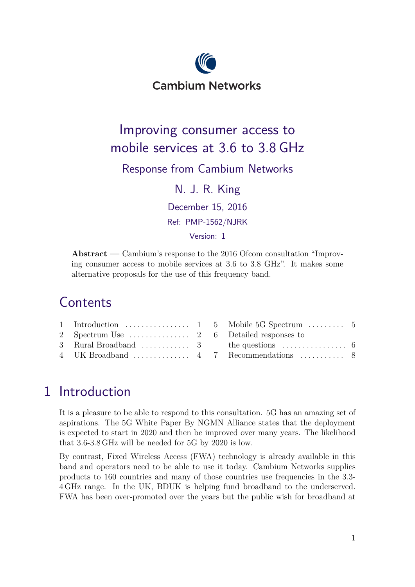

# Improving consumer access to mobile services at 3.6 to 3.8 GHz

#### Response from Cambium Networks

N. J. R. King

December 15, 2016

Ref: PMP-1562/NJRK

Version: 1

**Abstract —** Cambium's response to the 2016 Ofcom consultation "Improving consumer access to mobile services at 3.6 to 3.8 GHz". It makes some alternative proposals for the use of this frequency band.

# **Contents**

## 1 Introduction

It is a pleasure to be able to respond to this consultation. 5G has an amazing set of aspirations. The 5G White Paper By NGMN Alliance states that the deployment is expected to start in 2020 and then be improved over many years. The likelihood that 3.6-3.8 GHz will be needed for 5G by 2020 is low.

By contrast, Fixed Wireless Access (FWA) technology is already available in this band and operators need to be able to use it today. Cambium Networks supplies products to 160 countries and many of those countries use frequencies in the 3.3- 4 GHz range. In the UK, BDUK is helping fund broadband to the underserved. FWA has been over-promoted over the years but the public wish for broadband at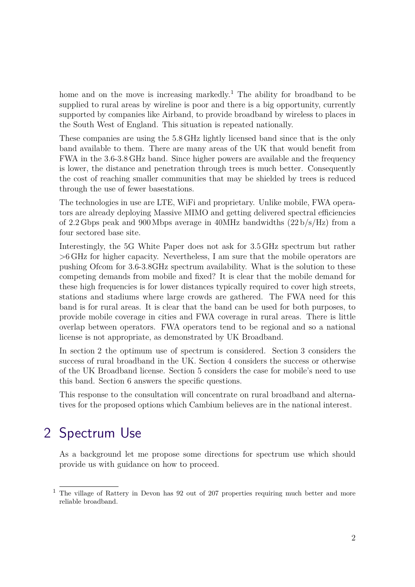<span id="page-1-0"></span>home and on the move is increasing markedly.<sup>1</sup> The ability for broadband to be supplied to rural areas by wireline is poor and there is a big opportunity, currently supported by companies like Airband, to provide broadband by wireless to places in the South West of England. This situation is repeated nationally.

These companies are using the 5.8 GHz lightly licensed band since that is the only band available to them. There are many areas of the UK that would benefit from FWA in the 3.6-3.8 GHz band. Since higher powers are available and the frequency is lower, the distance and penetration through trees is much better. Consequently the cost of reaching smaller communities that may be shielded by trees is reduced through the use of fewer basestations.

The technologies in use are LTE, WiFi and proprietary. Unlike mobile, FWA operators are already deploying Massive MIMO and getting delivered spectral efficiencies of 2.2 Gbps peak and 900 Mbps average in 40 MHz bandwidths  $(22 b/s/Hz)$  from a four sectored base site.

Interestingly, the 5G White Paper does not ask for 3.5 GHz spectrum but rather >6 GHz for higher capacity. Nevertheless, I am sure that the mobile operators are pushing Ofcom for 3.6-3.8GHz spectrum availability. What is the solution to these competing demands from mobile and fixed? It is clear that the mobile demand for these high frequencies is for lower distances typically required to cover high streets, stations and stadiums where large crowds are gathered. The FWA need for this band is for rural areas. It is clear that the band can be used for both purposes, to provide mobile coverage in cities and FWA coverage in rural areas. There is little overlap between operators. FWA operators tend to be regional and so a national license is not appropriate, as demonstrated by UK Broadband.

In section 2 the optimum use of spectrum is considered. [Section 3](#page-2-0) considers the success of rural broadband in the UK. [Section 4](#page-3-0) considers the success or otherwise of the UK Broadband license. [Section 5](#page-4-0) considers the case for mobile's need to use this band. [Section 6](#page-5-0) answers the specific questions.

This response to the consultation will concentrate on rural broadband and alternatives for the proposed options which Cambium believes are in the national interest.

## 2 Spectrum Use

As a background let me propose some directions for spectrum use which should provide us with guidance on how to proceed.

 $1$  The village of Rattery in Devon has 92 out of 207 properties requiring much better and more reliable broadband.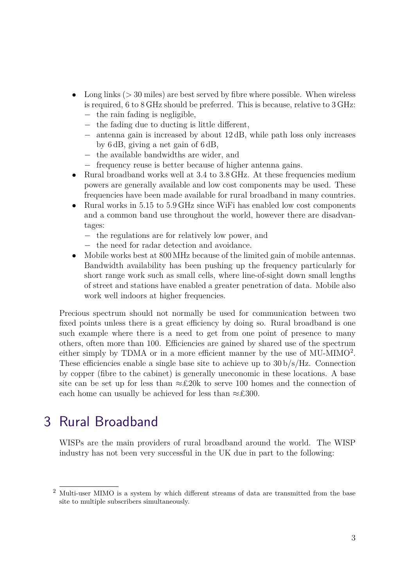- <span id="page-2-0"></span>Long links  $(>30 \text{ miles})$  are best served by fibre where possible. When wireless is required, 6 to 8 GHz should be preferred. This is because, relative to 3 GHz:
	- − the rain fading is negligible,
	- − the fading due to ducting is little different,
	- − antenna gain is increased by about 12 dB, while path loss only increases by 6 dB, giving a net gain of 6 dB,
	- − the available bandwidths are wider, and
	- − frequency reuse is better because of higher antenna gains.
- Rural broadband works well at 3.4 to 3.8 GHz. At these frequencies medium powers are generally available and low cost components may be used. These frequencies have been made available for rural broadband in many countries.
- Rural works in 5.15 to 5.9 GHz since WiFi has enabled low cost components and a common band use throughout the world, however there are disadvantages:
	- − the regulations are for relatively low power, and
	- − the need for radar detection and avoidance.
- Mobile works best at 800 MHz because of the limited gain of mobile antennas. Bandwidth availability has been pushing up the frequency particularly for short range work such as small cells, where line-of-sight down small lengths of street and stations have enabled a greater penetration of data. Mobile also work well indoors at higher frequencies.

Precious spectrum should not normally be used for communication between two fixed points unless there is a great efficiency by doing so. Rural broadband is one such example where there is a need to get from one point of presence to many others, often more than 100. Efficiencies are gained by shared use of the spectrum either simply by TDMA or in a more efficient manner by the use of  $MU-MIMO<sup>2</sup>$ . These efficiencies enable a single base site to achieve up to  $30 b/s/Hz$ . Connection by copper (fibre to the cabinet) is generally uneconomic in these locations. A base site can be set up for less than  $\approx$ £20k to serve 100 homes and the connection of each home can usually be achieved for less than  $\approx$ £300.

#### 3 Rural Broadband

WISPs are the main providers of rural broadband around the world. The WISP industry has not been very successful in the UK due in part to the following:

 $2$  Multi-user MIMO is a system by which different streams of data are transmitted from the base site to multiple subscribers simultaneously.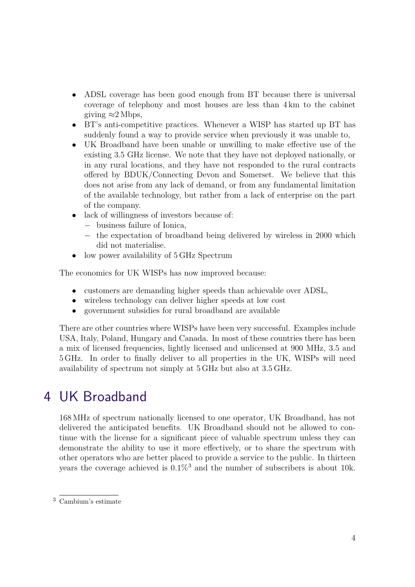- <span id="page-3-0"></span>• ADSL coverage has been good enough from BT because there is universal coverage of telephony and most houses are less than 4 km to the cabinet giving  $\approx$  2 Mbps,
- BT's anti-competitive practices. Whenever a WISP has started up BT has suddenly found a way to provide service when previously it was unable to,
- UK Broadband have been unable or unwilling to make effective use of the existing 3.5 GHz license. We note that they have not deployed nationally, or in any rural locations, and they have not responded to the rural contracts offered by BDUK/Connecting Devon and Somerset. We believe that this does not arise from any lack of demand, or from any fundamental limitation of the available technology, but rather from a lack of enterprise on the part of the company.
- lack of willingness of investors because of:
	- − business failure of Ionica,
	- − the expectation of broadband being delivered by wireless in 2000 which did not materialise.
- low power availability of  $5$  GHz Spectrum

The economics for UK WISPs has now improved because:

- customers are demanding higher speeds than achievable over ADSL,
- wireless technology can deliver higher speeds at low cost
- government subsidies for rural broadband are available

There are other countries where WISPs have been very successful. Examples include USA, Italy, Poland, Hungary and Canada. In most of these countries there has been a mix of licensed frequencies, lightly licensed and unlicensed at 900 MHz, 3.5 and 5 GHz. In order to finally deliver to all properties in the UK, WISPs will need availability of spectrum not simply at 5 GHz but also at 3.5 GHz.

#### 4 UK Broadband

168 MHz of spectrum nationally licensed to one operator, UK Broadband, has not delivered the anticipated benefits. UK Broadband should not be allowed to continue with the license for a significant piece of valuable spectrum unless they can demonstrate the ability to use it more effectively, or to share the spectrum with other operators who are better placed to provide a service to the public. In thirteen years the coverage achieved is  $0.1\%$ <sup>3</sup> and the number of subscribers is about 10k.

 $3$  Cambium's estimate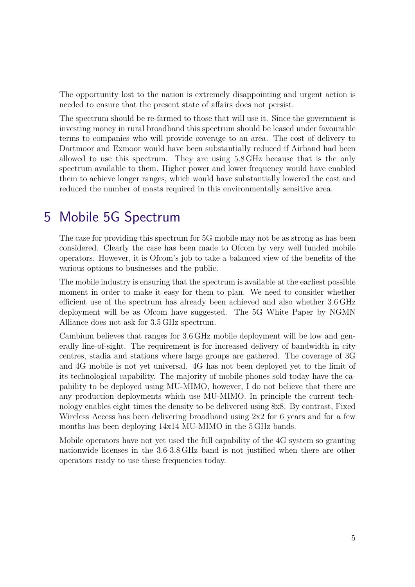<span id="page-4-0"></span>The opportunity lost to the nation is extremely disappointing and urgent action is needed to ensure that the present state of affairs does not persist.

The spectrum should be re-farmed to those that will use it. Since the government is investing money in rural broadband this spectrum should be leased under favourable terms to companies who will provide coverage to an area. The cost of delivery to Dartmoor and Exmoor would have been substantially reduced if Airband had been allowed to use this spectrum. They are using 5.8 GHz because that is the only spectrum available to them. Higher power and lower frequency would have enabled them to achieve longer ranges, which would have substantially lowered the cost and reduced the number of masts required in this environmentally sensitive area.

## 5 Mobile 5G Spectrum

The case for providing this spectrum for 5G mobile may not be as strong as has been considered. Clearly the case has been made to Ofcom by very well funded mobile operators. However, it is Ofcom's job to take a balanced view of the benefits of the various options to businesses and the public.

The mobile industry is ensuring that the spectrum is available at the earliest possible moment in order to make it easy for them to plan. We need to consider whether efficient use of the spectrum has already been achieved and also whether 3.6 GHz deployment will be as Ofcom have suggested. The 5G White Paper by NGMN Alliance does not ask for 3.5 GHz spectrum.

Cambium believes that ranges for 3.6 GHz mobile deployment will be low and generally line-of-sight. The requirement is for increased delivery of bandwidth in city centres, stadia and stations where large groups are gathered. The coverage of 3G and 4G mobile is not yet universal. 4G has not been deployed yet to the limit of its technological capability. The majority of mobile phones sold today have the capability to be deployed using MU-MIMO, however, I do not believe that there are any production deployments which use MU-MIMO. In principle the current technology enables eight times the density to be delivered using 8x8. By contrast, Fixed Wireless Access has been delivering broadband using 2x2 for 6 years and for a few months has been deploying 14x14 MU-MIMO in the 5 GHz bands.

Mobile operators have not yet used the full capability of the 4G system so granting nationwide licenses in the 3.6-3.8 GHz band is not justified when there are other operators ready to use these frequencies today.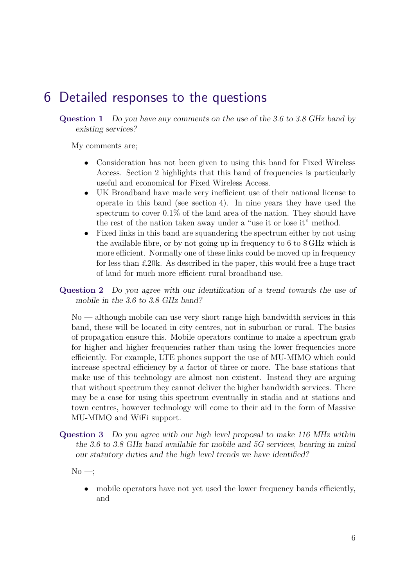### <span id="page-5-0"></span>6 Detailed responses to the questions

**Question 1** Do you have any comments on the use of the 3.6 to 3.8 GHz band by existing services?

My comments are;

- Consideration has not been given to using this band for Fixed Wireless Access. [Section 2](#page-1-0) highlights that this band of frequencies is particularly useful and economical for Fixed Wireless Access.
- UK Broadband have made very inefficient use of their national license to operate in this band (see [section 4](#page-3-0)). In nine years they have used the spectrum to cover 0.1% of the land area of the nation. They should have the rest of the nation taken away under a "use it or lose it" method.
- Fixed links in this band are squandering the spectrum either by not using the available fibre, or by not going up in frequency to 6 to 8 GHz which is more efficient. Normally one of these links could be moved up in frequency for less than £20k. As described in the paper, this would free a huge tract of land for much more efficient rural broadband use.

**Question 2** Do you agree with our identification of a trend towards the use of mobile in the 3.6 to 3.8 GHz band?

No — although mobile can use very short range high bandwidth services in this band, these will be located in city centres, not in suburban or rural. The basics of propagation ensure this. Mobile operators continue to make a spectrum grab for higher and higher frequencies rather than using the lower frequencies more efficiently. For example, LTE phones support the use of MU-MIMO which could increase spectral efficiency by a factor of three or more. The base stations that make use of this technology are almost non existent. Instead they are arguing that without spectrum they cannot deliver the higher bandwidth services. There may be a case for using this spectrum eventually in stadia and at stations and town centres, however technology will come to their aid in the form of Massive MU-MIMO and WiFi support.

**Question 3** Do you agree with our high level proposal to make 116 MHz within the 3.6 to 3.8 GHz band available for mobile and 5G services, bearing in mind our statutory duties and the high level trends we have identified?

 $No \rightarrow$ :

• mobile operators have not yet used the lower frequency bands efficiently, and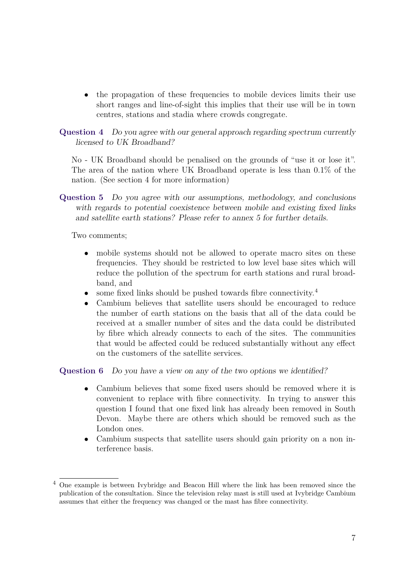- the propagation of these frequencies to mobile devices limits their use short ranges and line-of-sight this implies that their use will be in town centres, stations and stadia where crowds congregate.
- **Question 4** Do you agree with our general approach regarding spectrum currently licensed to UK Broadband?

No - UK Broadband should be penalised on the grounds of "use it or lose it". The area of the nation where UK Broadband operate is less than 0.1% of the nation. (See [section 4](#page-3-0) for more information)

**Question 5** Do you agree with our assumptions, methodology, and conclusions with regards to potential coexistence between mobile and existing fixed links and satellite earth stations? Please refer to annex 5 for further details.

Two comments;

- mobile systems should not be allowed to operate macro sites on these frequencies. They should be restricted to low level base sites which will reduce the pollution of the spectrum for earth stations and rural broadband, and
- some fixed links should be pushed towards fibre connectivity.<sup>4</sup>
- Cambium believes that satellite users should be encouraged to reduce the number of earth stations on the basis that all of the data could be received at a smaller number of sites and the data could be distributed by fibre which already connects to each of the sites. The communities that would be affected could be reduced substantially without any effect on the customers of the satellite services.

**Question 6** Do you have a view on any of the two options we identified?

- Cambium believes that some fixed users should be removed where it is convenient to replace with fibre connectivity. In trying to answer this question I found that one fixed link has already been removed in South Devon. Maybe there are others which should be removed such as the London ones.
- Cambium suspects that satellite users should gain priority on a non interference basis.

<sup>&</sup>lt;sup>4</sup> One example is between Ivybridge and Beacon Hill where the link has been removed since the publication of the consultation. Since the television relay mast is still used at Ivybridge Cambium assumes that either the frequency was changed or the mast has fibre connectivity.